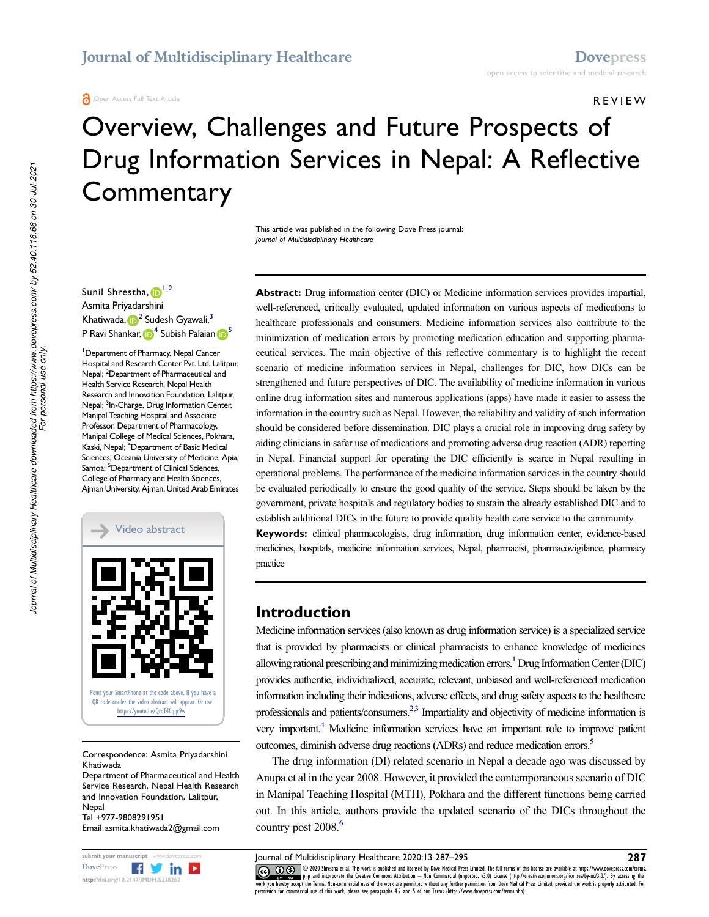Open Access Full Text Article

#### REVIEW

# Overview, Challenges and Future Prospects of Drug Information Services in Nepal: A Reflective **Commentary**

This article was published in the following Dove Press journal: Journal of Multidisciplinary Healthcare

Sunil Shrestha, D<sup>1,2</sup> Asmita Priyadarshini Khatiwada, <mark>D<sup>2</sup> Sudesh Gyawali,<sup>3</sup></mark> P Ravi Shankar, <mark>19</mark><sup>4</sup> Subish Palaian <mark>19</mark>5

<sup>1</sup>Department of Pharmacy, Nepal Cancer Hospital and Research Center Pvt. Ltd, Lalitpur, Nepal; <sup>2</sup>Department of Pharmaceutical and Health Service Research, Nepal Health Research and Innovation Foundation, Lalitpur, Nepal; <sup>3</sup>In-Charge, Drug Information Center, Manipal Teaching Hospital and Associate Professor, Department of Pharmacology, Manipal College of Medical Sciences, Pokhara, Kaski, Nepal; <sup>4</sup>Department of Basic Medical Sciences, Oceania University of Medicine, Apia, Samoa; <sup>5</sup>Department of Clinical Sciences, College of Pharmacy and Health Sciences, Ajman University, Ajman, United Arab Emirates



#### Correspondence: Asmita Priyadarshini Khatiwada

Department of Pharmaceutical and Health Service Research, Nepal Health Research and Innovation Foundation, Lalitpur, Nepal Tel +977-9808291951 Email asmita.khatiwada2@gmail.com



Abstract: Drug information center (DIC) or Medicine information services provides impartial, well-referenced, critically evaluated, updated information on various aspects of medications to healthcare professionals and consumers. Medicine information services also contribute to the minimization of medication errors by promoting medication education and supporting pharmaceutical services. The main objective of this reflective commentary is to highlight the recent scenario of medicine information services in Nepal, challenges for DIC, how DICs can be strengthened and future perspectives of DIC. The availability of medicine information in various online drug information sites and numerous applications (apps) have made it easier to assess the information in the country such as Nepal. However, the reliability and validity of such information should be considered before dissemination. DIC plays a crucial role in improving drug safety by aiding clinicians in safer use of medications and promoting adverse drug reaction (ADR) reporting in Nepal. Financial support for operating the DIC efficiently is scarce in Nepal resulting in operational problems. The performance of the medicine information services in the country should be evaluated periodically to ensure the good quality of the service. Steps should be taken by the government, private hospitals and regulatory bodies to sustain the already established DIC and to establish additional DICs in the future to provide quality health care service to the community. Keywords: clinical pharmacologists, drug information, drug information center, evidence-based medicines, hospitals, medicine information services, Nepal, pharmacist, pharmacovigilance, pharmacy practice

#### Introduction

Medicine information services (also known as drug information service) is a specialized service that is provided by pharmacists or clinical pharmacists to enhance knowledge of medicines allowing rational prescribing and minimizing medication errors.<sup>1</sup> Drug Information Center (DIC) provides authentic, individualized, accurate, relevant, unbiased and well-referenced medication information including their indications, adverse effects, and drug safety aspects to the healthcare professionals and patients/consumers.<sup>2,3</sup> Impartiality and objectivity of medicine information is very important.<sup>4</sup> Medicine information services have an important role to improve patient outcomes, diminish adverse drug reactions (ADRs) and reduce medication errors.<sup>5</sup>

The drug information (DI) related scenario in Nepal a decade ago was discussed by Anupa et al in the year 2008. However, it provided the contemporaneous scenario of DIC in Manipal Teaching Hospital (MTH), Pokhara and the different functions being carried out. In this article, authors provide the updated scenario of the DICs throughout the country post 2008.<sup>6</sup>

submit your manuscript | www.dovepress.com Journal of Multidisciplinary Healthcare 2020:13 287–295 287<br>DovePress Fight Times of this work is published and licensed by Dove Medical Press Limited. The full terms of this lice CCC © 2020 Shrestha et al. This work is published and licensed by Dove Medical Press Limited. The full terms of this license are available at https://www.dovepress.com/terms www.comphp and incorporate the Creative Commons Attribution - Non Commercial (unported, v3.0) License (http://creativecommons.org/licenses/by-nc/3.0/). By accessing the permission for commercial use of this work, please see paragraphs 4.2 and 5 of our Terms (https://www.dovepress.com/terms.php).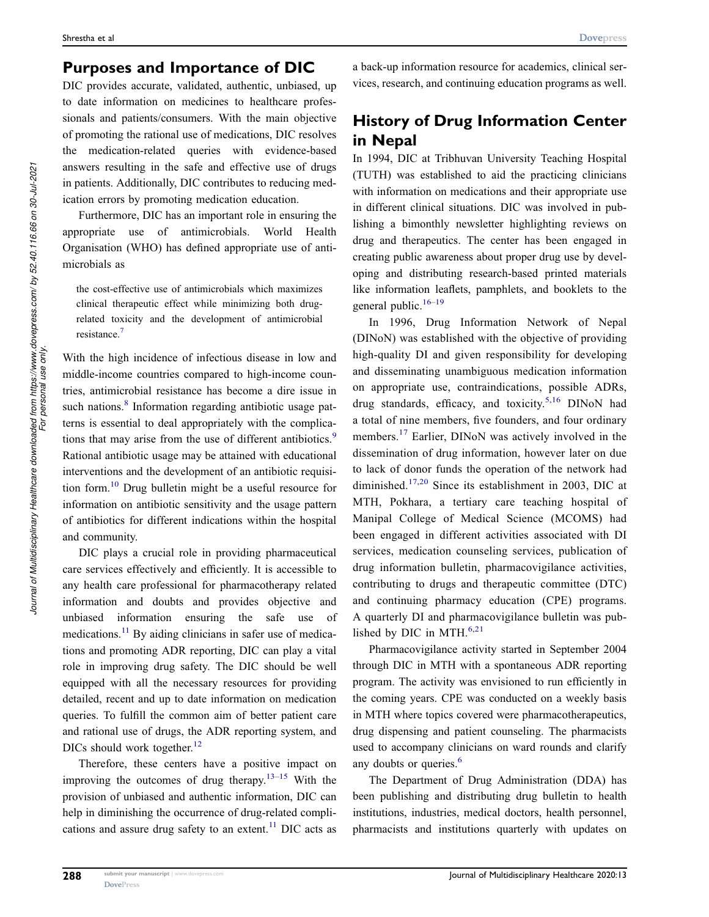## Purposes and Importance of DIC

DIC provides accurate, validated, authentic, unbiased, up to date information on medicines to healthcare professionals and patients/consumers. With the main objective of promoting the rational use of medications, DIC resolves the medication-related queries with evidence-based answers resulting in the safe and effective use of drugs in patients. Additionally, DIC contributes to reducing medication errors by promoting medication education.

Furthermore, DIC has an important role in ensuring the appropriate use of antimicrobials. World Health Organisation (WHO) has defined appropriate use of antimicrobials as

the cost-effective use of antimicrobials which maximizes clinical therapeutic effect while minimizing both drugrelated toxicity and the development of antimicrobial resistance.<sup>7</sup>

With the high incidence of infectious disease in low and middle-income countries compared to high-income countries, antimicrobial resistance has become a dire issue in such nations.<sup>8</sup> Information regarding antibiotic usage patterns is essential to deal appropriately with the complications that may arise from the use of different antibiotics.<sup>9</sup> Rational antibiotic usage may be attained with educational interventions and the development of an antibiotic requisition form.<sup>10</sup> Drug bulletin might be a useful resource for information on antibiotic sensitivity and the usage pattern of antibiotics for different indications within the hospital and community.

DIC plays a crucial role in providing pharmaceutical care services effectively and efficiently. It is accessible to any health care professional for pharmacotherapy related information and doubts and provides objective and unbiased information ensuring the safe use of medications.<sup>11</sup> By aiding clinicians in safer use of medications and promoting ADR reporting, DIC can play a vital role in improving drug safety. The DIC should be well equipped with all the necessary resources for providing detailed, recent and up to date information on medication queries. To fulfill the common aim of better patient care and rational use of drugs, the ADR reporting system, and DICs should work together. $12$ 

Therefore, these centers have a positive impact on improving the outcomes of drug therapy.<sup>13–15</sup> With the provision of unbiased and authentic information, DIC can help in diminishing the occurrence of drug-related complications and assure drug safety to an extent.<sup>11</sup> DIC acts as a back-up information resource for academics, clinical services, research, and continuing education programs as well.

# History of Drug Information Center in Nepal

In 1994, DIC at Tribhuvan University Teaching Hospital (TUTH) was established to aid the practicing clinicians with information on medications and their appropriate use in different clinical situations. DIC was involved in publishing a bimonthly newsletter highlighting reviews on drug and therapeutics. The center has been engaged in creating public awareness about proper drug use by developing and distributing research-based printed materials like information leaflets, pamphlets, and booklets to the general public.<sup>16–19</sup>

In 1996, Drug Information Network of Nepal (DINoN) was established with the objective of providing high-quality DI and given responsibility for developing and disseminating unambiguous medication information on appropriate use, contraindications, possible ADRs, drug standards, efficacy, and toxicity.<sup>5,16</sup> DINoN had a total of nine members, five founders, and four ordinary members.<sup>17</sup> Earlier, DINoN was actively involved in the dissemination of drug information, however later on due to lack of donor funds the operation of the network had diminished.17,20 Since its establishment in 2003, DIC at MTH, Pokhara, a tertiary care teaching hospital of Manipal College of Medical Science (MCOMS) had been engaged in different activities associated with DI services, medication counseling services, publication of drug information bulletin, pharmacovigilance activities, contributing to drugs and therapeutic committee (DTC) and continuing pharmacy education (CPE) programs. A quarterly DI and pharmacovigilance bulletin was published by DIC in MTH.<sup>6,21</sup>

Pharmacovigilance activity started in September 2004 through DIC in MTH with a spontaneous ADR reporting program. The activity was envisioned to run efficiently in the coming years. CPE was conducted on a weekly basis in MTH where topics covered were pharmacotherapeutics, drug dispensing and patient counseling. The pharmacists used to accompany clinicians on ward rounds and clarify any doubts or queries.<sup>6</sup>

The Department of Drug Administration (DDA) has been publishing and distributing drug bulletin to health institutions, industries, medical doctors, health personnel, pharmacists and institutions quarterly with updates on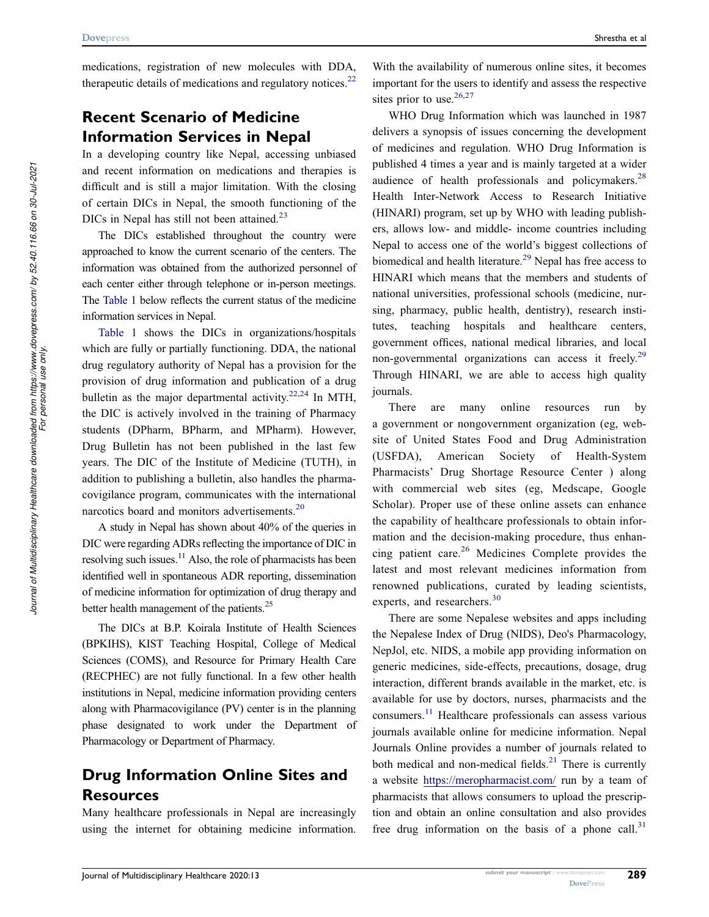medications, registration of new molecules with DDA, therapeutic details of medications and regulatory notices.<sup>22</sup>

# Recent Scenario of Medicine Information Services in Nepal

In a developing country like Nepal, accessing unbiased and recent information on medications and therapies is difficult and is still a major limitation. With the closing of certain DICs in Nepal, the smooth functioning of the DICs in Nepal has still not been attained.<sup>23</sup>

The DICs established throughout the country were approached to know the current scenario of the centers. The information was obtained from the authorized personnel of each center either through telephone or in-person meetings. The Table 1 below reflects the current status of the medicine information services in Nepal.

Table 1 shows the DICs in organizations/hospitals which are fully or partially functioning. DDA, the national drug regulatory authority of Nepal has a provision for the provision of drug information and publication of a drug bulletin as the major departmental activity.<sup>22,24</sup> In MTH, the DIC is actively involved in the training of Pharmacy students (DPharm, BPharm, and MPharm). However, Drug Bulletin has not been published in the last few years. The DIC of the Institute of Medicine (TUTH), in addition to publishing a bulletin, also handles the pharmacovigilance program, communicates with the international narcotics board and monitors advertisements.<sup>20</sup>

A study in Nepal has shown about 40% of the queries in DIC were regarding ADRs reflecting the importance of DIC in resolving such issues.<sup>11</sup> Also, the role of pharmacists has been identified well in spontaneous ADR reporting, dissemination of medicine information for optimization of drug therapy and better health management of the patients.<sup>25</sup>

The DICs at B.P. Koirala Institute of Health Sciences (BPKIHS), KIST Teaching Hospital, College of Medical Sciences (COMS), and Resource for Primary Health Care (RECPHEC) are not fully functional. In a few other health institutions in Nepal, medicine information providing centers along with Pharmacovigilance (PV) center is in the planning phase designated to work under the Department of Pharmacology or Department of Pharmacy.

# Drug Information Online Sites and Resources

Many healthcare professionals in Nepal are increasingly using the internet for obtaining medicine information. With the availability of numerous online sites, it becomes important for the users to identify and assess the respective sites prior to use.<sup>26,27</sup>

WHO Drug Information which was launched in 1987 delivers a synopsis of issues concerning the development of medicines and regulation. WHO Drug Information is published 4 times a year and is mainly targeted at a wider audience of health professionals and policymakers.<sup>28</sup> Health Inter-Network Access to Research Initiative (HINARI) program, set up by WHO with leading publishers, allows low- and middle- income countries including Nepal to access one of the world's biggest collections of biomedical and health literature.<sup>29</sup> Nepal has free access to HINARI which means that the members and students of national universities, professional schools (medicine, nursing, pharmacy, public health, dentistry), research institutes, teaching hospitals and healthcare centers, government offices, national medical libraries, and local non-governmental organizations can access it freely.<sup>29</sup> Through HINARI, we are able to access high quality journals.

There are many online resources run by a government or nongovernment organization (eg, website of United States Food and Drug Administration (USFDA), American Society of Health-System Pharmacists' Drug Shortage Resource Center ) along with commercial web sites (eg, Medscape, Google Scholar). Proper use of these online assets can enhance the capability of healthcare professionals to obtain information and the decision-making procedure, thus enhancing patient care.<sup>26</sup> Medicines Complete provides the latest and most relevant medicines information from renowned publications, curated by leading scientists, experts, and researchers.<sup>30</sup>

There are some Nepalese websites and apps including the Nepalese Index of Drug (NIDS), Deo's Pharmacology, NepJol, etc. NIDS, a mobile app providing information on generic medicines, side-effects, precautions, dosage, drug interaction, different brands available in the market, etc. is available for use by doctors, nurses, pharmacists and the consumers.<sup>11</sup> Healthcare professionals can assess various journals available online for medicine information. Nepal Journals Online provides a number of journals related to both medical and non-medical fields. $21$  There is currently a website https://meropharmacist.com/ run by a team of pharmacists that allows consumers to upload the prescription and obtain an online consultation and also provides free drug information on the basis of a phone call.<sup>31</sup>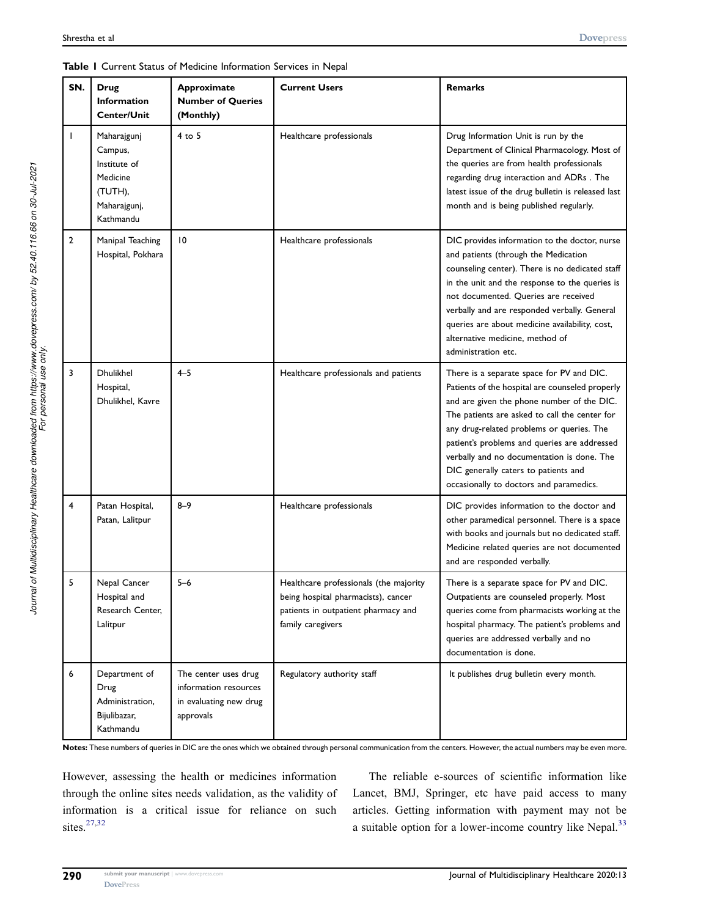| SN.            | <b>Drug</b>                                                                                | <b>Table T</b> Current Status of Medicine Information Services in Nepal<br>Approximate | <b>Current Users</b>                                                                                                                      | <b>Remarks</b>                                                                                                                                                                                                                                                                                                                                                                                                            |
|----------------|--------------------------------------------------------------------------------------------|----------------------------------------------------------------------------------------|-------------------------------------------------------------------------------------------------------------------------------------------|---------------------------------------------------------------------------------------------------------------------------------------------------------------------------------------------------------------------------------------------------------------------------------------------------------------------------------------------------------------------------------------------------------------------------|
|                | Information<br>Center/Unit                                                                 | <b>Number of Queries</b><br>(Monthly)                                                  |                                                                                                                                           |                                                                                                                                                                                                                                                                                                                                                                                                                           |
| $\mathsf{I}$   | Maharajgunj<br>Campus,<br>Institute of<br>Medicine<br>(TUTH),<br>Maharajgunj,<br>Kathmandu | $4$ to $5$                                                                             | Healthcare professionals                                                                                                                  | Drug Information Unit is run by the<br>Department of Clinical Pharmacology. Most of<br>the queries are from health professionals<br>regarding drug interaction and ADRs. The<br>latest issue of the drug bulletin is released last<br>month and is being published regularly.                                                                                                                                             |
| $\overline{2}$ | Manipal Teaching<br>Hospital, Pokhara                                                      | $\overline{10}$                                                                        | Healthcare professionals                                                                                                                  | DIC provides information to the doctor, nurse<br>and patients (through the Medication<br>counseling center). There is no dedicated staff<br>in the unit and the response to the queries is<br>not documented. Queries are received<br>verbally and are responded verbally. General<br>queries are about medicine availability, cost,<br>alternative medicine, method of<br>administration etc.                            |
| 3              | <b>Dhulikhel</b><br>Hospital,<br>Dhulikhel, Kavre                                          | $4 - 5$                                                                                | Healthcare professionals and patients                                                                                                     | There is a separate space for PV and DIC.<br>Patients of the hospital are counseled properly<br>and are given the phone number of the DIC.<br>The patients are asked to call the center for<br>any drug-related problems or queries. The<br>patient's problems and queries are addressed<br>verbally and no documentation is done. The<br>DIC generally caters to patients and<br>occasionally to doctors and paramedics. |
| $\overline{4}$ | Patan Hospital,<br>Patan, Lalitpur                                                         | $8 - 9$                                                                                | Healthcare professionals                                                                                                                  | DIC provides information to the doctor and<br>other paramedical personnel. There is a space<br>with books and journals but no dedicated staff.<br>Medicine related queries are not documented<br>and are responded verbally.                                                                                                                                                                                              |
| 5              | Nepal Cancer<br>Hospital and<br>Research Center,<br>Lalitpur                               | $5 - 6$                                                                                | Healthcare professionals (the majority<br>being hospital pharmacists), cancer<br>patients in outpatient pharmacy and<br>family caregivers | There is a separate space for PV and DIC.<br>Outpatients are counseled properly. Most<br>queries come from pharmacists working at the<br>hospital pharmacy. The patient's problems and<br>queries are addressed verbally and no<br>documentation is done.                                                                                                                                                                 |
| 6              | Department of<br>Drug<br>Administration,<br>Bijulibazar,<br>Kathmandu                      | The center uses drug<br>information resources<br>in evaluating new drug<br>approvals   | Regulatory authority staff                                                                                                                | It publishes drug bulletin every month.                                                                                                                                                                                                                                                                                                                                                                                   |

Table I Current Status of Medicine Information Services in Nepal

Notes: These numbers of queries in DIC are the ones which we obtained through personal communication from the centers. However, the actual numbers may be even more.

However, assessing the health or medicines information through the online sites needs validation, as the validity of information is a critical issue for reliance on such sites.<sup>27,32</sup>

The reliable e-sources of scientific information like Lancet, BMJ, Springer, etc have paid access to many articles. Getting information with payment may not be a suitable option for a lower-income country like Nepal.<sup>33</sup>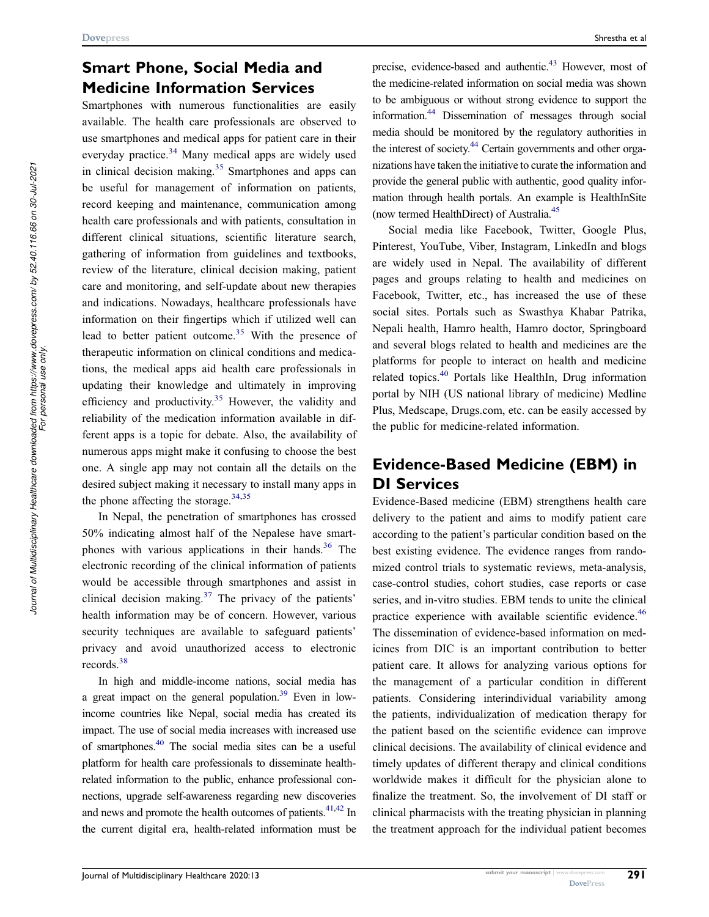# Smart Phone, Social Media and Medicine Information Services

Smartphones with numerous functionalities are easily available. The health care professionals are observed to use smartphones and medical apps for patient care in their everyday practice.<sup>34</sup> Many medical apps are widely used in clinical decision making.<sup>35</sup> Smartphones and apps can be useful for management of information on patients, record keeping and maintenance, communication among health care professionals and with patients, consultation in different clinical situations, scientific literature search, gathering of information from guidelines and textbooks, review of the literature, clinical decision making, patient care and monitoring, and self-update about new therapies and indications. Nowadays, healthcare professionals have information on their fingertips which if utilized well can lead to better patient outcome.<sup>35</sup> With the presence of therapeutic information on clinical conditions and medications, the medical apps aid health care professionals in updating their knowledge and ultimately in improving efficiency and productivity. $35$  However, the validity and reliability of the medication information available in different apps is a topic for debate. Also, the availability of numerous apps might make it confusing to choose the best one. A single app may not contain all the details on the desired subject making it necessary to install many apps in the phone affecting the storage. $34,35$ 

In Nepal, the penetration of smartphones has crossed 50% indicating almost half of the Nepalese have smartphones with various applications in their hands.<sup>36</sup> The electronic recording of the clinical information of patients would be accessible through smartphones and assist in clinical decision making. $37$  The privacy of the patients' health information may be of concern. However, various security techniques are available to safeguard patients' privacy and avoid unauthorized access to electronic records.<sup>38</sup>

In high and middle-income nations, social media has a great impact on the general population.<sup>39</sup> Even in lowincome countries like Nepal, social media has created its impact. The use of social media increases with increased use of smartphones.<sup>40</sup> The social media sites can be a useful platform for health care professionals to disseminate healthrelated information to the public, enhance professional connections, upgrade self-awareness regarding new discoveries and news and promote the health outcomes of patients. $41,42$  In the current digital era, health-related information must be precise, evidence-based and authentic.<sup>43</sup> However, most of the medicine-related information on social media was shown to be ambiguous or without strong evidence to support the information.<sup>44</sup> Dissemination of messages through social media should be monitored by the regulatory authorities in the interest of society.<sup>44</sup> Certain governments and other organizations have taken the initiative to curate the information and provide the general public with authentic, good quality information through health portals. An example is HealthInSite (now termed HealthDirect) of Australia.<sup>45</sup>

Social media like Facebook, Twitter, Google Plus, Pinterest, YouTube, Viber, Instagram, LinkedIn and blogs are widely used in Nepal. The availability of different pages and groups relating to health and medicines on Facebook, Twitter, etc., has increased the use of these social sites. Portals such as Swasthya Khabar Patrika, Nepali health, Hamro health, Hamro doctor, Springboard and several blogs related to health and medicines are the platforms for people to interact on health and medicine related topics.<sup>40</sup> Portals like HealthIn, Drug information portal by NIH (US national library of medicine) Medline Plus, Medscape, Drugs.com, etc. can be easily accessed by the public for medicine-related information.

# Evidence-Based Medicine (EBM) in DI Services

Evidence-Based medicine (EBM) strengthens health care delivery to the patient and aims to modify patient care according to the patient's particular condition based on the best existing evidence. The evidence ranges from randomized control trials to systematic reviews, meta-analysis, case-control studies, cohort studies, case reports or case series, and in-vitro studies. EBM tends to unite the clinical practice experience with available scientific evidence.<sup>46</sup> The dissemination of evidence-based information on medicines from DIC is an important contribution to better patient care. It allows for analyzing various options for the management of a particular condition in different patients. Considering interindividual variability among the patients, individualization of medication therapy for the patient based on the scientific evidence can improve clinical decisions. The availability of clinical evidence and timely updates of different therapy and clinical conditions worldwide makes it difficult for the physician alone to finalize the treatment. So, the involvement of DI staff or clinical pharmacists with the treating physician in planning the treatment approach for the individual patient becomes

*For personal use only.*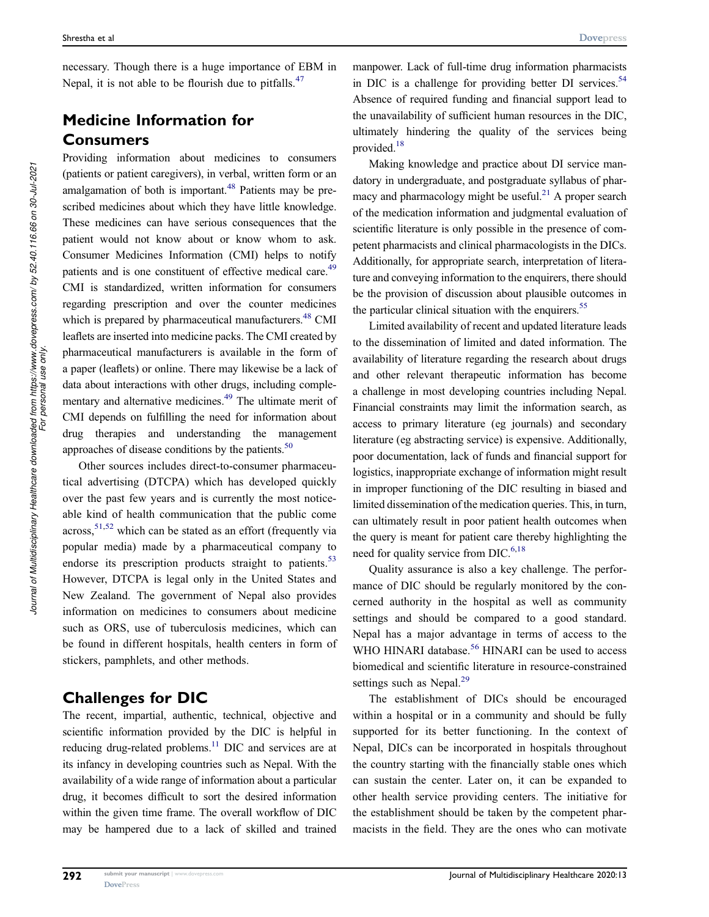necessary. Though there is a huge importance of EBM in Nepal, it is not able to be flourish due to pitfalls. $47$ 

# Medicine Information for Consumers

Providing information about medicines to consumers (patients or patient caregivers), in verbal, written form or an amalgamation of both is important.<sup>48</sup> Patients may be prescribed medicines about which they have little knowledge. These medicines can have serious consequences that the patient would not know about or know whom to ask. Consumer Medicines Information (CMI) helps to notify patients and is one constituent of effective medical care.<sup>49</sup> CMI is standardized, written information for consumers regarding prescription and over the counter medicines which is prepared by pharmaceutical manufacturers.<sup>48</sup> CMI leaflets are inserted into medicine packs. The CMI created by pharmaceutical manufacturers is available in the form of a paper (leaflets) or online. There may likewise be a lack of data about interactions with other drugs, including complementary and alternative medicines.<sup>49</sup> The ultimate merit of CMI depends on fulfilling the need for information about drug therapies and understanding the management approaches of disease conditions by the patients.<sup>50</sup>

Other sources includes direct-to-consumer pharmaceutical advertising (DTCPA) which has developed quickly over the past few years and is currently the most noticeable kind of health communication that the public come  $across, <sup>51,52</sup>$  which can be stated as an effort (frequently via popular media) made by a pharmaceutical company to endorse its prescription products straight to patients.<sup>53</sup> However, DTCPA is legal only in the United States and New Zealand. The government of Nepal also provides information on medicines to consumers about medicine such as ORS, use of tuberculosis medicines, which can be found in different hospitals, health centers in form of stickers, pamphlets, and other methods.

#### Challenges for DIC

The recent, impartial, authentic, technical, objective and scientific information provided by the DIC is helpful in reducing drug-related problems.<sup>11</sup> DIC and services are at its infancy in developing countries such as Nepal. With the availability of a wide range of information about a particular drug, it becomes difficult to sort the desired information within the given time frame. The overall workflow of DIC may be hampered due to a lack of skilled and trained

manpower. Lack of full-time drug information pharmacists in DIC is a challenge for providing better DI services.<sup>54</sup> Absence of required funding and financial support lead to the unavailability of sufficient human resources in the DIC, ultimately hindering the quality of the services being provided.<sup>18</sup>

Making knowledge and practice about DI service mandatory in undergraduate, and postgraduate syllabus of pharmacy and pharmacology might be useful.<sup>21</sup> A proper search of the medication information and judgmental evaluation of scientific literature is only possible in the presence of competent pharmacists and clinical pharmacologists in the DICs. Additionally, for appropriate search, interpretation of literature and conveying information to the enquirers, there should be the provision of discussion about plausible outcomes in the particular clinical situation with the enquirers.<sup>55</sup>

Limited availability of recent and updated literature leads to the dissemination of limited and dated information. The availability of literature regarding the research about drugs and other relevant therapeutic information has become a challenge in most developing countries including Nepal. Financial constraints may limit the information search, as access to primary literature (eg journals) and secondary literature (eg abstracting service) is expensive. Additionally, poor documentation, lack of funds and financial support for logistics, inappropriate exchange of information might result in improper functioning of the DIC resulting in biased and limited dissemination of the medication queries. This, in turn, can ultimately result in poor patient health outcomes when the query is meant for patient care thereby highlighting the need for quality service from DIC.<sup>6,18</sup>

Quality assurance is also a key challenge. The performance of DIC should be regularly monitored by the concerned authority in the hospital as well as community settings and should be compared to a good standard. Nepal has a major advantage in terms of access to the WHO HINARI database.<sup>56</sup> HINARI can be used to access biomedical and scientific literature in resource-constrained settings such as Nepal.<sup>29</sup>

The establishment of DICs should be encouraged within a hospital or in a community and should be fully supported for its better functioning. In the context of Nepal, DICs can be incorporated in hospitals throughout the country starting with the financially stable ones which can sustain the center. Later on, it can be expanded to other health service providing centers. The initiative for the establishment should be taken by the competent pharmacists in the field. They are the ones who can motivate

*For personal use only.*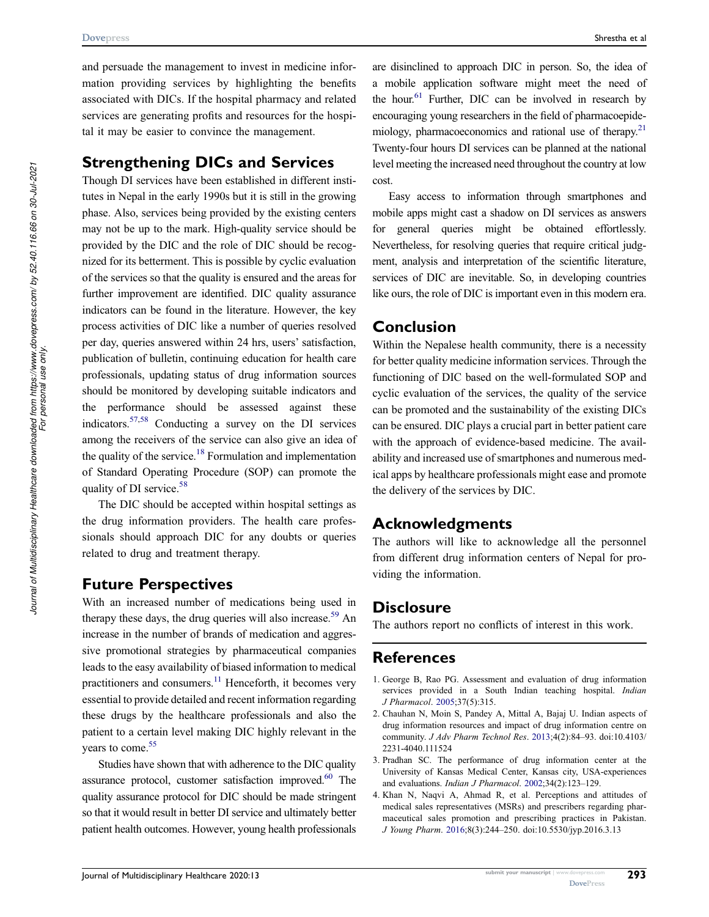and persuade the management to invest in medicine information providing services by highlighting the benefits associated with DICs. If the hospital pharmacy and related services are generating profits and resources for the hospital it may be easier to convince the management.

#### Strengthening DICs and Services

Though DI services have been established in different institutes in Nepal in the early 1990s but it is still in the growing phase. Also, services being provided by the existing centers may not be up to the mark. High-quality service should be provided by the DIC and the role of DIC should be recognized for its betterment. This is possible by cyclic evaluation of the services so that the quality is ensured and the areas for further improvement are identified. DIC quality assurance indicators can be found in the literature. However, the key process activities of DIC like a number of queries resolved per day, queries answered within 24 hrs, users' satisfaction, publication of bulletin, continuing education for health care professionals, updating status of drug information sources should be monitored by developing suitable indicators and the performance should be assessed against these indicators.57,58 Conducting a survey on the DI services among the receivers of the service can also give an idea of the quality of the service.<sup>18</sup> Formulation and implementation of Standard Operating Procedure (SOP) can promote the quality of DI service.<sup>58</sup>

The DIC should be accepted within hospital settings as the drug information providers. The health care professionals should approach DIC for any doubts or queries related to drug and treatment therapy.

#### Future Perspectives

With an increased number of medications being used in therapy these days, the drug queries will also increase.<sup>59</sup> An increase in the number of brands of medication and aggressive promotional strategies by pharmaceutical companies leads to the easy availability of biased information to medical practitioners and consumers.<sup>11</sup> Henceforth, it becomes very essential to provide detailed and recent information regarding these drugs by the healthcare professionals and also the patient to a certain level making DIC highly relevant in the years to come.<sup>55</sup>

Studies have shown that with adherence to the DIC quality assurance protocol, customer satisfaction improved.<sup>60</sup> The quality assurance protocol for DIC should be made stringent so that it would result in better DI service and ultimately better patient health outcomes. However, young health professionals are disinclined to approach DIC in person. So, the idea of a mobile application software might meet the need of the hour.<sup>61</sup> Further, DIC can be involved in research by encouraging young researchers in the field of pharmacoepidemiology, pharmacoeconomics and rational use of therapy. $2<sup>1</sup>$ Twenty-four hours DI services can be planned at the national level meeting the increased need throughout the country at low cost.

Easy access to information through smartphones and mobile apps might cast a shadow on DI services as answers for general queries might be obtained effortlessly. Nevertheless, for resolving queries that require critical judgment, analysis and interpretation of the scientific literature, services of DIC are inevitable. So, in developing countries like ours, the role of DIC is important even in this modern era.

### Conclusion

Within the Nepalese health community, there is a necessity for better quality medicine information services. Through the functioning of DIC based on the well-formulated SOP and cyclic evaluation of the services, the quality of the service can be promoted and the sustainability of the existing DICs can be ensured. DIC plays a crucial part in better patient care with the approach of evidence-based medicine. The availability and increased use of smartphones and numerous medical apps by healthcare professionals might ease and promote the delivery of the services by DIC.

# Acknowledgments

The authors will like to acknowledge all the personnel from different drug information centers of Nepal for providing the information.

## **Disclosure**

The authors report no conflicts of interest in this work.

# References

- 1. George B, Rao PG. Assessment and evaluation of drug information services provided in a South Indian teaching hospital. *Indian* J Pharmacol. 2005;37(5):315.
- 2. Chauhan N, Moin S, Pandey A, Mittal A, Bajaj U. Indian aspects of drug information resources and impact of drug information centre on community. J Adv Pharm Technol Res. 2013;4(2):84–93. doi:10.4103/ 2231-4040.111524
- 3. Pradhan SC. The performance of drug information center at the University of Kansas Medical Center, Kansas city, USA-experiences and evaluations. Indian J Pharmacol. 2002;34(2):123–129.
- 4. Khan N, Naqvi A, Ahmad R, et al. Perceptions and attitudes of medical sales representatives (MSRs) and prescribers regarding pharmaceutical sales promotion and prescribing practices in Pakistan. J Young Pharm. 2016;8(3):244–250. doi:10.5530/jyp.2016.3.13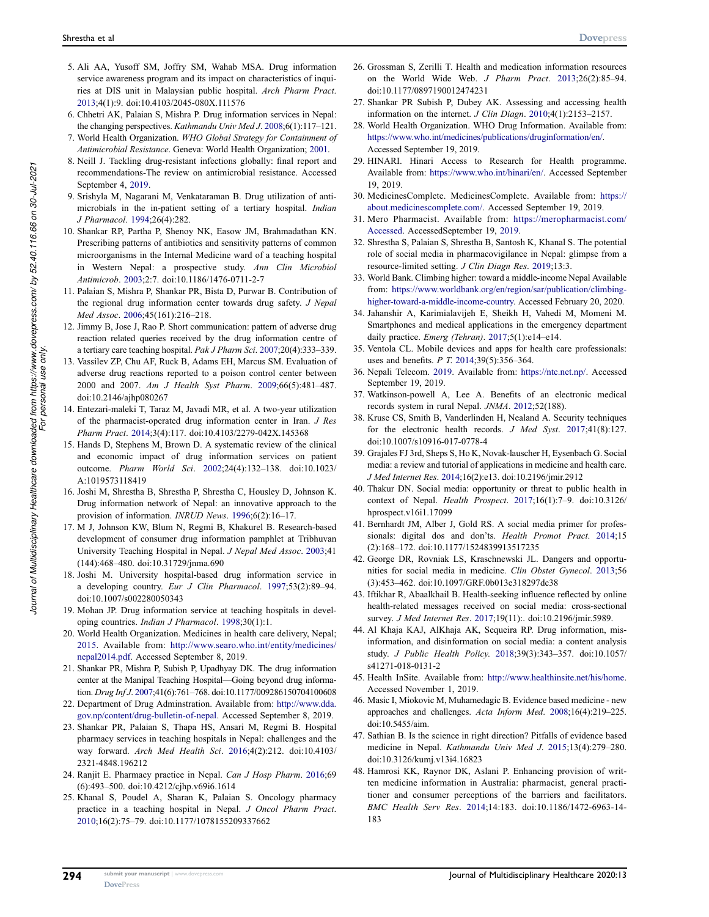- 5. Ali AA, Yusoff SM, Joffry SM, Wahab MSA. Drug information service awareness program and its impact on characteristics of inquiries at DIS unit in Malaysian public hospital. Arch Pharm Pract. 2013;4(1):9. doi:10.4103/2045-080X.111576
- 6. Chhetri AK, Palaian S, Mishra P. Drug information services in Nepal: the changing perspectives. Kathmandu Univ Med J. 2008;6(1):117–121.
- 7. World Health Organization. WHO Global Strategy for Containment of Antimicrobial Resistance. Geneva: World Health Organization; 2001.
- 8. Neill J. Tackling drug-resistant infections globally: final report and recommendations-The review on antimicrobial resistance. Accessed September 4, 2019.
- 9. Srishyla M, Nagarani M, Venkataraman B. Drug utilization of antimicrobials in the in-patient setting of a tertiary hospital. Indian J Pharmacol. 1994;26(4):282.
- 10. Shankar RP, Partha P, Shenoy NK, Easow JM, Brahmadathan KN. Prescribing patterns of antibiotics and sensitivity patterns of common microorganisms in the Internal Medicine ward of a teaching hospital in Western Nepal: a prospective study. Ann Clin Microbiol Antimicrob. 2003;2:7. doi:10.1186/1476-0711-2-7
- 11. Palaian S, Mishra P, Shankar PR, Bista D, Purwar B. Contribution of the regional drug information center towards drug safety. J Nepal Med Assoc. 2006;45(161):216–218.
- 12. Jimmy B, Jose J, Rao P. Short communication: pattern of adverse drug reaction related queries received by the drug information centre of a tertiary care teaching hospital. Pak J Pharm Sci. 2007;20(4):333–339.
- 13. Vassilev ZP, Chu AF, Ruck B, Adams EH, Marcus SM. Evaluation of adverse drug reactions reported to a poison control center between 2000 and 2007. Am J Health Syst Pharm. 2009;66(5):481–487. doi:10.2146/ajhp080267
- 14. Entezari-maleki T, Taraz M, Javadi MR, et al. A two-year utilization of the pharmacist-operated drug information center in Iran. J Res Pharm Pract. 2014;3(4):117. doi:10.4103/2279-042X.145368
- 15. Hands D, Stephens M, Brown D. A systematic review of the clinical and economic impact of drug information services on patient outcome. Pharm World Sci. 2002;24(4):132–138. doi:10.1023/ A:1019573118419
- 16. Joshi M, Shrestha B, Shrestha P, Shrestha C, Housley D, Johnson K. Drug information network of Nepal: an innovative approach to the provision of information. INRUD News. 1996;6(2):16–17.
- 17. M J, Johnson KW, Blum N, Regmi B, Khakurel B. Research-based development of consumer drug information pamphlet at Tribhuvan University Teaching Hospital in Nepal. J Nepal Med Assoc. 2003;41 (144):468–480. doi:10.31729/jnma.690
- 18. Joshi M. University hospital-based drug information service in a developing country. Eur J Clin Pharmacol. 1997;53(2):89–94. doi:10.1007/s002280050343
- 19. Mohan JP. Drug information service at teaching hospitals in developing countries. Indian J Pharmacol. 1998;30(1):1.
- 20. World Health Organization. Medicines in health care delivery, Nepal; 2015. Available from: http://www.searo.who.int/entity/medicines/ nepal2014.pdf. Accessed September 8, 2019.
- 21. Shankar PR, Mishra P, Subish P, Upadhyay DK. The drug information center at the Manipal Teaching Hospital—Going beyond drug information. Drug Inf J. 2007;41(6):761–768. doi:10.1177/009286150704100608
- 22. Department of Drug Adminstration. Available from: http://www.dda. gov.np/content/drug-bulletin-of-nepal. Accessed September 8, 2019.
- 23. Shankar PR, Palaian S, Thapa HS, Ansari M, Regmi B. Hospital pharmacy services in teaching hospitals in Nepal: challenges and the way forward. Arch Med Health Sci. 2016;4(2):212. doi:10.4103/ 2321-4848.196212
- 24. Ranjit E. Pharmacy practice in Nepal. Can J Hosp Pharm. 2016;69 (6):493–500. doi:10.4212/cjhp.v69i6.1614
- 25. Khanal S, Poudel A, Sharan K, Palaian S. Oncology pharmacy practice in a teaching hospital in Nepal. J Oncol Pharm Pract. 2010;16(2):75–79. doi:10.1177/1078155209337662
- 26. Grossman S, Zerilli T. Health and medication information resources on the World Wide Web. J Pharm Pract. 2013;26(2):85–94. doi:10.1177/0897190012474231
- 27. Shankar PR Subish P, Dubey AK. Assessing and accessing health information on the internet. J Clin Diagn. 2010;4(1):2153–2157.
- 28. World Health Organization. WHO Drug Information. Available from: https://www.who.int/medicines/publications/druginformation/en/. Accessed September 19, 2019.
- 29. HINARI. Hinari Access to Research for Health programme. Available from: https://www.who.int/hinari/en/. Accessed September 19, 2019.
- 30. MedicinesComplete. MedicinesComplete. Available from: https:// about.medicinescomplete.com/. Accessed September 19, 2019.
- 31. Mero Pharmacist. Available from: https://meropharmacist.com/ Accessed. AccessedSeptember 19, 2019.
- 32. Shrestha S, Palaian S, Shrestha B, Santosh K, Khanal S. The potential role of social media in pharmacovigilance in Nepal: glimpse from a resource-limited setting. J Clin Diagn Res. 2019;13:3.
- 33. World Bank. Climbing higher: toward a middle-income Nepal Available from: https://www.worldbank.org/en/region/sar/publication/climbinghigher-toward-a-middle-income-country. Accessed February 20, 2020.
- 34. Jahanshir A, Karimialavijeh E, Sheikh H, Vahedi M, Momeni M. Smartphones and medical applications in the emergency department daily practice. Emerg (Tehran). 2017;5(1):e14-e14.
- 35. Ventola CL. Mobile devices and apps for health care professionals: uses and benefits. *P T.* 2014;39(5):356-364.
- 36. Nepali Telecom. 2019. Available from: https://ntc.net.np/. Accessed September 19, 2019.
- 37. Watkinson-powell A, Lee A. Benefits of an electronic medical records system in rural Nepal. JNMA. 2012;52(188).
- 38. Kruse CS, Smith B, Vanderlinden H, Nealand A. Security techniques for the electronic health records. *J Med Syst.* 2017;41(8):127. doi:10.1007/s10916-017-0778-4
- 39. Grajales FJ 3rd, Sheps S, Ho K, Novak-lauscher H, Eysenbach G. Social media: a review and tutorial of applications in medicine and health care. J Med Internet Res. 2014;16(2):e13. doi:10.2196/jmir.2912
- 40. Thakur DN. Social media: opportunity or threat to public health in context of Nepal. Health Prospect. 2017;16(1):7–9. doi:10.3126/ hprospect.v16i1.17099
- 41. Bernhardt JM, Alber J, Gold RS. A social media primer for professionals: digital dos and don'ts. Health Promot Pract. 2014;15 (2):168–172. doi:10.1177/1524839913517235
- 42. George DR, Rovniak LS, Kraschnewski JL. Dangers and opportunities for social media in medicine. Clin Obstet Gynecol. 2013;56 (3):453–462. doi:10.1097/GRF.0b013e318297dc38
- 43. Iftikhar R, Abaalkhail B. Health-seeking influence reflected by online health-related messages received on social media: cross-sectional survey. J Med Internet Res. 2017;19(11):. doi:10.2196/jmir.5989.
- 44. Al Khaja KAJ, AlKhaja AK, Sequeira RP. Drug information, misinformation, and disinformation on social media: a content analysis study. J Public Health Policy. 2018;39(3):343–357. doi:10.1057/ s41271-018-0131-2
- 45. Health InSite. Available from: http://www.healthinsite.net/his/home. Accessed November 1, 2019.
- 46. Masic I, Miokovic M, Muhamedagic B. Evidence based medicine new approaches and challenges. Acta Inform Med. 2008;16(4):219–225. doi:10.5455/aim.
- 47. Sathian B. Is the science in right direction? Pitfalls of evidence based medicine in Nepal. Kathmandu Univ Med J. 2015;13(4):279–280. doi:10.3126/kumj.v13i4.16823
- 48. Hamrosi KK, Raynor DK, Aslani P. Enhancing provision of written medicine information in Australia: pharmacist, general practitioner and consumer perceptions of the barriers and facilitators. BMC Health Serv Res. 2014;14:183. doi:10.1186/1472-6963-14- 183